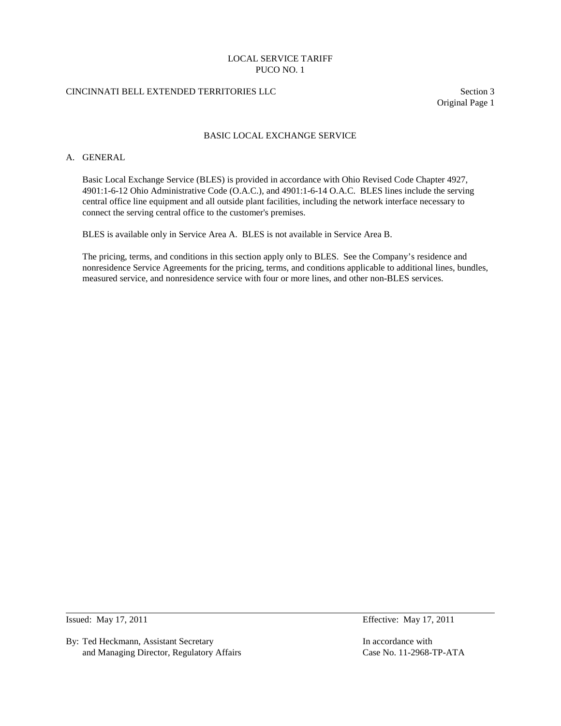### CINCINNATI BELL EXTENDED TERRITORIES LLC Section 3

Original Page 1

### BASIC LOCAL EXCHANGE SERVICE

#### A. GENERAL

Basic Local Exchange Service (BLES) is provided in accordance with Ohio Revised Code Chapter 4927, 4901:1-6-12 Ohio Administrative Code (O.A.C.), and 4901:1-6-14 O.A.C. BLES lines include the serving central office line equipment and all outside plant facilities, including the network interface necessary to connect the serving central office to the customer's premises.

BLES is available only in Service Area A. BLES is not available in Service Area B.

The pricing, terms, and conditions in this section apply only to BLES. See the Company's residence and nonresidence Service Agreements for the pricing, terms, and conditions applicable to additional lines, bundles, measured service, and nonresidence service with four or more lines, and other non-BLES services.

By: Ted Heckmann, Assistant Secretary **In accordance with** In accordance with and Managing Director, Regulatory Affairs Case No. 11-2968-TP-ATA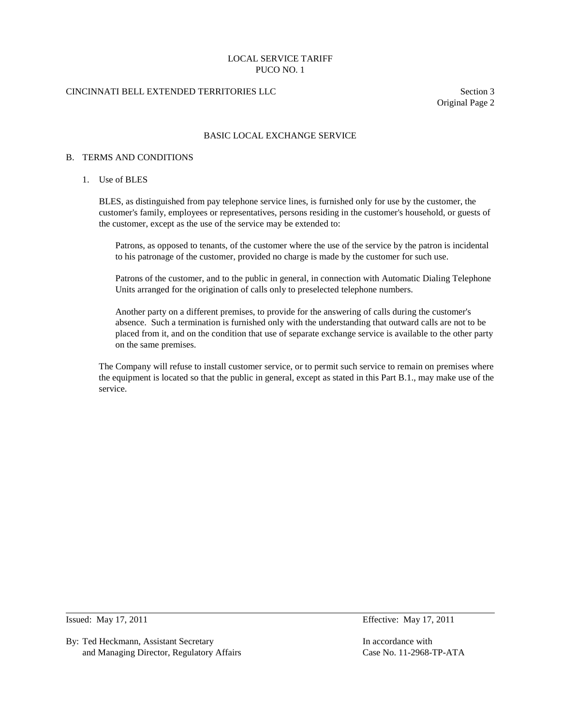### CINCINNATI BELL EXTENDED TERRITORIES LLC Section 3

Original Page 2

#### BASIC LOCAL EXCHANGE SERVICE

#### B. TERMS AND CONDITIONS

#### 1. Use of BLES

BLES, as distinguished from pay telephone service lines, is furnished only for use by the customer, the customer's family, employees or representatives, persons residing in the customer's household, or guests of the customer, except as the use of the service may be extended to:

Patrons, as opposed to tenants, of the customer where the use of the service by the patron is incidental to his patronage of the customer, provided no charge is made by the customer for such use.

Patrons of the customer, and to the public in general, in connection with Automatic Dialing Telephone Units arranged for the origination of calls only to preselected telephone numbers.

Another party on a different premises, to provide for the answering of calls during the customer's absence. Such a termination is furnished only with the understanding that outward calls are not to be placed from it, and on the condition that use of separate exchange service is available to the other party on the same premises.

The Company will refuse to install customer service, or to permit such service to remain on premises where the equipment is located so that the public in general, except as stated in this Part B.1., may make use of the service.

By: Ted Heckmann, Assistant Secretary In accordance with In accordance with and Managing Director, Regulatory Affairs Case No. 11-2968-TP-ATA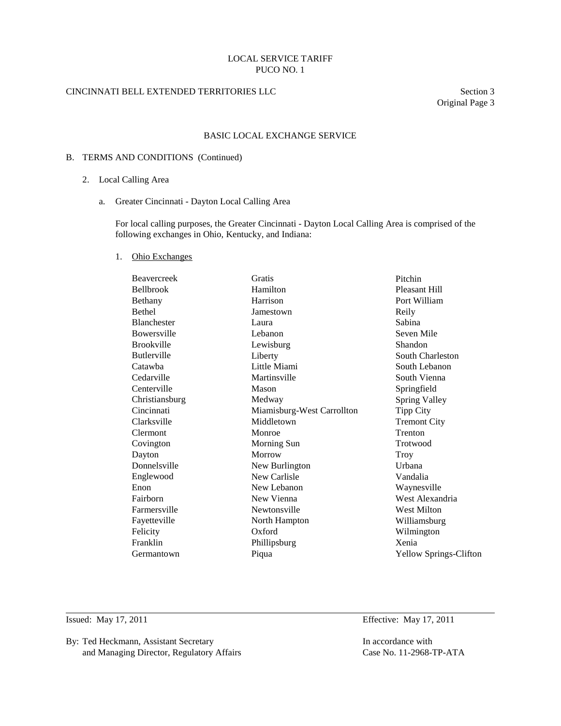## CINCINNATI BELL EXTENDED TERRITORIES LLC Section 3

Original Page 3

## BASIC LOCAL EXCHANGE SERVICE

### B. TERMS AND CONDITIONS (Continued)

- 2. Local Calling Area
	- a. Greater Cincinnati Dayton Local Calling Area

For local calling purposes, the Greater Cincinnati - Dayton Local Calling Area is comprised of the following exchanges in Ohio, Kentucky, and Indiana:

1. Ohio Exchanges

| Beavercreek        | Gratis                     | Pitchin                       |
|--------------------|----------------------------|-------------------------------|
| <b>Bellbrook</b>   | Hamilton                   | <b>Pleasant Hill</b>          |
| Bethany            | Harrison                   | Port William                  |
| <b>Bethel</b>      | Jamestown                  | Reily                         |
| <b>Blanchester</b> | Laura                      | Sabina                        |
| <b>Bowersville</b> | Lebanon                    | Seven Mile                    |
| <b>Brookville</b>  | Lewisburg                  | Shandon                       |
| <b>Butlerville</b> | Liberty                    | <b>South Charleston</b>       |
| Catawha            | Little Miami               | South Lebanon                 |
| Cedarville         | Martinsville               | South Vienna                  |
| Centerville        | Mason                      | Springfield                   |
| Christiansburg     | Medway                     | Spring Valley                 |
| Cincinnati         | Miamisburg-West Carrollton | <b>Tipp City</b>              |
| Clarksville        | Middletown                 | <b>Tremont City</b>           |
| Clermont           | Monroe                     | Trenton                       |
| Covington          | Morning Sun                | Trotwood                      |
| Dayton             | Morrow                     | Troy                          |
| Donnelsville       | New Burlington             | Urbana                        |
| Englewood          | New Carlisle               | Vandalia                      |
| Enon               | New Lebanon                | Waynesville                   |
| Fairborn           | New Vienna                 | West Alexandria               |
| Farmersville       | Newtonsville               | <b>West Milton</b>            |
| Fayetteville       | North Hampton              | Williamsburg                  |
| Felicity           | Oxford                     | Wilmington                    |
| Franklin           | Phillipsburg               | Xenia                         |
| Germantown         | Piqua                      | <b>Yellow Springs-Clifton</b> |

By: Ted Heckmann, Assistant Secretary In accordance with and Managing Director, Regulatory Affairs Case No. 11-2968-TP-ATA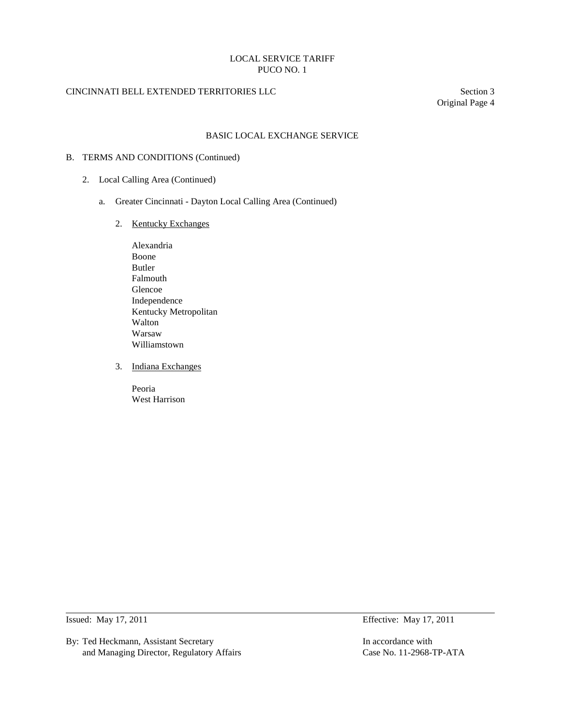# CINCINNATI BELL EXTENDED TERRITORIES LLC Section 3

Original Page 4

## BASIC LOCAL EXCHANGE SERVICE

### B. TERMS AND CONDITIONS (Continued)

- 2. Local Calling Area (Continued)
	- a. Greater Cincinnati Dayton Local Calling Area (Continued)
		- 2. Kentucky Exchanges
			- Alexandria Boone Butler Falmouth Glencoe Independence Kentucky Metropolitan Walton Warsaw Williamstown
		- 3. Indiana Exchanges

Peoria West Harrison

By: Ted Heckmann, Assistant Secretary In accordance with and Managing Director, Regulatory Affairs Case No. 11-2968-TP-ATA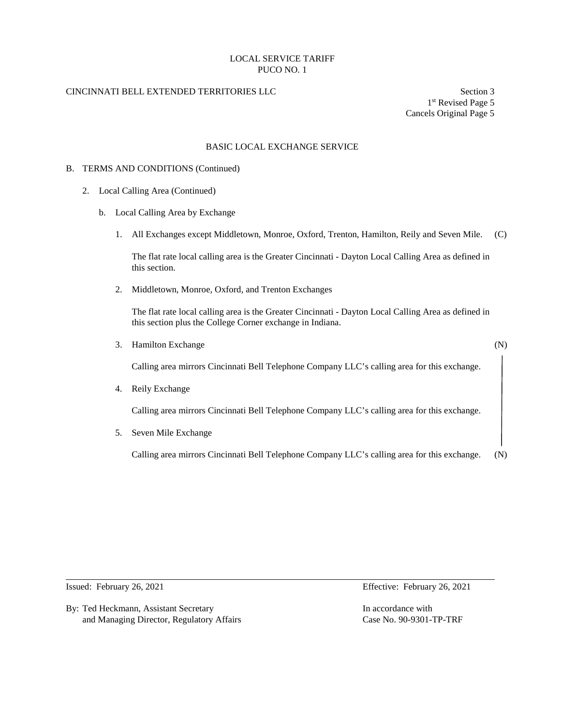## CINCINNATI BELL EXTENDED TERRITORIES LLC Section 3

1st Revised Page 5 Cancels Original Page 5

### BASIC LOCAL EXCHANGE SERVICE

#### B. TERMS AND CONDITIONS (Continued)

- 2. Local Calling Area (Continued)
	- b. Local Calling Area by Exchange
		- 1. All Exchanges except Middletown, Monroe, Oxford, Trenton, Hamilton, Reily and Seven Mile. (C)

The flat rate local calling area is the Greater Cincinnati - Dayton Local Calling Area as defined in this section.

2. Middletown, Monroe, Oxford, and Trenton Exchanges

The flat rate local calling area is the Greater Cincinnati - Dayton Local Calling Area as defined in this section plus the College Corner exchange in Indiana.

3. Hamilton Exchange (N)

- Calling area mirrors Cincinnati Bell Telephone Company LLC's calling area for this exchange.
- 4. Reily Exchange

Calling area mirrors Cincinnati Bell Telephone Company LLC's calling area for this exchange.

5. Seven Mile Exchange

Calling area mirrors Cincinnati Bell Telephone Company LLC's calling area for this exchange. (N)

By: Ted Heckmann, Assistant Secretary **In accordance with** In accordance with and Managing Director, Regulatory Affairs Case No. 90-9301-TP-TRF

Issued: February 26, 2021 Effective: February 26, 2021